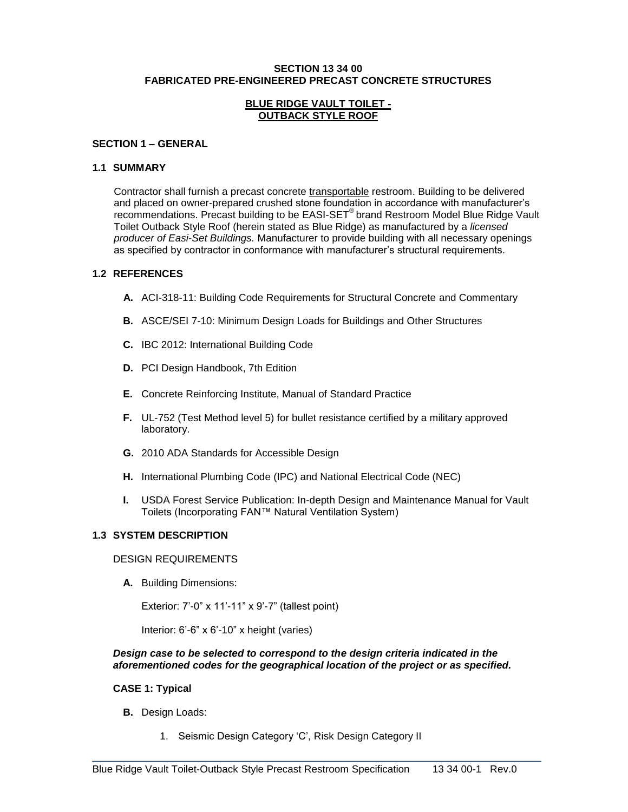#### **SECTION 13 34 00 FABRICATED PRE-ENGINEERED PRECAST CONCRETE STRUCTURES**

#### **BLUE RIDGE VAULT TOILET - OUTBACK STYLE ROOF**

#### **SECTION 1 – GENERAL**

#### **1.1 SUMMARY**

Contractor shall furnish a precast concrete transportable restroom. Building to be delivered and placed on owner-prepared crushed stone foundation in accordance with manufacturer's recommendations. Precast building to be EASI-SET® brand Restroom Model Blue Ridge Vault Toilet Outback Style Roof (herein stated as Blue Ridge) as manufactured by a *licensed producer of Easi-Set Buildings.* Manufacturer to provide building with all necessary openings as specified by contractor in conformance with manufacturer's structural requirements.

#### **1.2 REFERENCES**

- **A.** ACI-318-11: Building Code Requirements for Structural Concrete and Commentary
- **B.** ASCE/SEI 7-10: Minimum Design Loads for Buildings and Other Structures
- **C.** IBC 2012: International Building Code
- **D.** PCI Design Handbook, 7th Edition
- **E.** Concrete Reinforcing Institute, Manual of Standard Practice
- **F.** UL-752 (Test Method level 5) for bullet resistance certified by a military approved laboratory.
- **G.** 2010 ADA Standards for Accessible Design
- **H.** International Plumbing Code (IPC) and National Electrical Code (NEC)
- **I.** USDA Forest Service Publication: In-depth Design and Maintenance Manual for Vault Toilets (Incorporating FAN™ Natural Ventilation System)

# **1.3 SYSTEM DESCRIPTION**

#### DESIGN REQUIREMENTS

**A.** Building Dimensions:

Exterior: 7'-0" x 11'-11" x 9'-7" (tallest point)

Interior: 6'-6" x 6'-10" x height (varies)

#### *Design case to be selected to correspond to the design criteria indicated in the aforementioned codes for the geographical location of the project or as specified.*

# **CASE 1: Typical**

- **B.** Design Loads:
	- 1. Seismic Design Category 'C', Risk Design Category II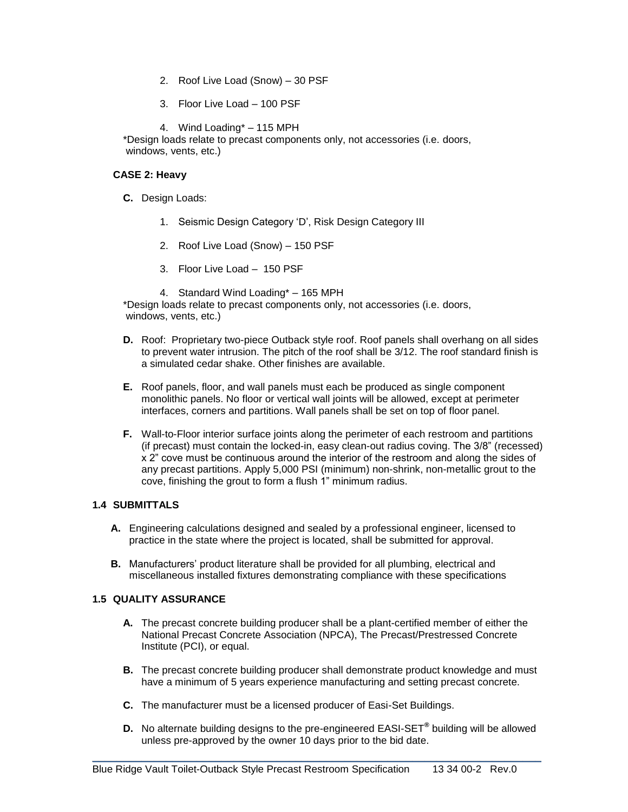- 2. Roof Live Load (Snow) 30 PSF
- 3. Floor Live Load 100 PSF
- 4. Wind Loading\* 115 MPH

\*Design loads relate to precast components only, not accessories (i.e. doors, windows, vents, etc.)

### **CASE 2: Heavy**

- **C.** Design Loads:
	- 1. Seismic Design Category 'D', Risk Design Category III
	- 2. Roof Live Load (Snow) 150 PSF
	- 3. Floor Live Load 150 PSF
	- 4. Standard Wind Loading\* 165 MPH

\*Design loads relate to precast components only, not accessories (i.e. doors, windows, vents, etc.)

- **D.** Roof: Proprietary two-piece Outback style roof. Roof panels shall overhang on all sides to prevent water intrusion. The pitch of the roof shall be 3/12. The roof standard finish is a simulated cedar shake. Other finishes are available.
- **E.** Roof panels, floor, and wall panels must each be produced as single component monolithic panels. No floor or vertical wall joints will be allowed, except at perimeter interfaces, corners and partitions. Wall panels shall be set on top of floor panel.
- **F.** Wall-to-Floor interior surface joints along the perimeter of each restroom and partitions (if precast) must contain the locked-in, easy clean-out radius coving. The 3/8" (recessed) x 2" cove must be continuous around the interior of the restroom and along the sides of any precast partitions. Apply 5,000 PSI (minimum) non-shrink, non-metallic grout to the cove, finishing the grout to form a flush 1" minimum radius.

# **1.4 SUBMITTALS**

- **A.** Engineering calculations designed and sealed by a professional engineer, licensed to practice in the state where the project is located, shall be submitted for approval.
- **B.** Manufacturers' product literature shall be provided for all plumbing, electrical and miscellaneous installed fixtures demonstrating compliance with these specifications

#### **1.5 QUALITY ASSURANCE**

- **A.** The precast concrete building producer shall be a plant-certified member of either the National Precast Concrete Association (NPCA), The Precast/Prestressed Concrete Institute (PCI), or equal.
- **B.** The precast concrete building producer shall demonstrate product knowledge and must have a minimum of 5 years experience manufacturing and setting precast concrete.
- **C.** The manufacturer must be a licensed producer of Easi-Set Buildings.
- **D.** No alternate building designs to the pre-engineered EASI-SET**®** building will be allowed unless pre-approved by the owner 10 days prior to the bid date.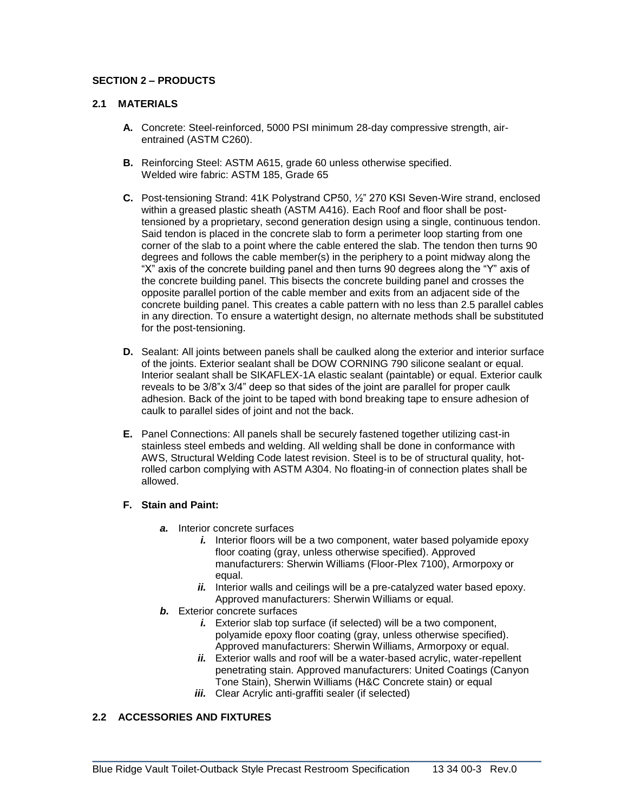# **SECTION 2 – PRODUCTS**

# **2.1 MATERIALS**

- **A.** Concrete: Steel-reinforced, 5000 PSI minimum 28-day compressive strength, airentrained (ASTM C260).
- **B.** Reinforcing Steel: ASTM A615, grade 60 unless otherwise specified. Welded wire fabric: ASTM 185, Grade 65
- **C.** Post-tensioning Strand: 41K Polystrand CP50, ½" 270 KSI Seven-Wire strand, enclosed within a greased plastic sheath (ASTM A416). Each Roof and floor shall be posttensioned by a proprietary, second generation design using a single, continuous tendon. Said tendon is placed in the concrete slab to form a perimeter loop starting from one corner of the slab to a point where the cable entered the slab. The tendon then turns 90 degrees and follows the cable member(s) in the periphery to a point midway along the "X" axis of the concrete building panel and then turns 90 degrees along the "Y" axis of the concrete building panel. This bisects the concrete building panel and crosses the opposite parallel portion of the cable member and exits from an adjacent side of the concrete building panel. This creates a cable pattern with no less than 2.5 parallel cables in any direction. To ensure a watertight design, no alternate methods shall be substituted for the post-tensioning.
- **D.** Sealant: All joints between panels shall be caulked along the exterior and interior surface of the joints. Exterior sealant shall be DOW CORNING 790 silicone sealant or equal. Interior sealant shall be SIKAFLEX-1A elastic sealant (paintable) or equal. Exterior caulk reveals to be 3/8"x 3/4" deep so that sides of the joint are parallel for proper caulk adhesion. Back of the joint to be taped with bond breaking tape to ensure adhesion of caulk to parallel sides of joint and not the back.
- **E.** Panel Connections: All panels shall be securely fastened together utilizing cast-in stainless steel embeds and welding. All welding shall be done in conformance with AWS, Structural Welding Code latest revision. Steel is to be of structural quality, hotrolled carbon complying with ASTM A304. No floating-in of connection plates shall be allowed.

# **F. Stain and Paint:**

- *a.* Interior concrete surfaces
	- *i.* Interior floors will be a two component, water based polyamide epoxy floor coating (gray, unless otherwise specified). Approved manufacturers: Sherwin Williams (Floor-Plex 7100), Armorpoxy or equal.
	- *ii.* Interior walls and ceilings will be a pre-catalyzed water based epoxy. Approved manufacturers: Sherwin Williams or equal.
- *b.* Exterior concrete surfaces
	- *i.* Exterior slab top surface (if selected) will be a two component, polyamide epoxy floor coating (gray, unless otherwise specified). Approved manufacturers: Sherwin Williams, Armorpoxy or equal.
	- *ii.* Exterior walls and roof will be a water-based acrylic, water-repellent penetrating stain. Approved manufacturers: United Coatings (Canyon Tone Stain), Sherwin Williams (H&C Concrete stain) or equal
	- *iii.* Clear Acrylic anti-graffiti sealer (if selected)

# **2.2 ACCESSORIES AND FIXTURES**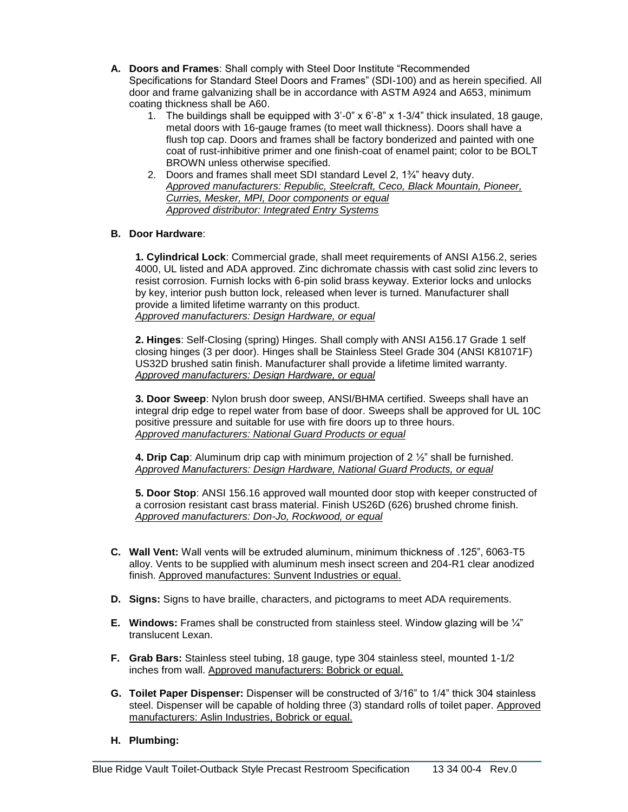- **A. Doors and Frames**: Shall comply with Steel Door Institute "Recommended Specifications for Standard Steel Doors and Frames" (SDI-100) and as herein specified. All door and frame galvanizing shall be in accordance with ASTM A924 and A653, minimum coating thickness shall be A60.
	- 1. The buildings shall be equipped with 3'-0" x 6'-8" x 1-3/4" thick insulated, 18 gauge, metal doors with 16-gauge frames (to meet wall thickness). Doors shall have a flush top cap. Doors and frames shall be factory bonderized and painted with one coat of rust-inhibitive primer and one finish-coat of enamel paint; color to be BOLT BROWN unless otherwise specified.
	- 2. Doors and frames shall meet SDI standard Level 2, 1¾" heavy duty. *Approved manufacturers: Republic, Steelcraft, Ceco, Black Mountain, Pioneer, Curries, Mesker, MPI, Door components or equal Approved distributor: Integrated Entry Systems*

# **B. Door Hardware**:

**1. Cylindrical Lock**: Commercial grade, shall meet requirements of ANSI A156.2, series 4000, UL listed and ADA approved. Zinc dichromate chassis with cast solid zinc levers to resist corrosion. Furnish locks with 6-pin solid brass keyway. Exterior locks and unlocks by key, interior push button lock, released when lever is turned. Manufacturer shall provide a limited lifetime warranty on this product. *Approved manufacturers: Design Hardware, or equal*

**2. Hinges**: Self-Closing (spring) Hinges. Shall comply with ANSI A156.17 Grade 1 self closing hinges (3 per door). Hinges shall be Stainless Steel Grade 304 (ANSI K81071F) US32D brushed satin finish. Manufacturer shall provide a lifetime limited warranty. *Approved manufacturers: Design Hardware, or equal*

**3. Door Sweep**: Nylon brush door sweep, ANSI/BHMA certified. Sweeps shall have an integral drip edge to repel water from base of door. Sweeps shall be approved for UL 10C positive pressure and suitable for use with fire doors up to three hours. *Approved manufacturers: National Guard Products or equal*

**4. Drip Cap**: Aluminum drip cap with minimum projection of 2 ½" shall be furnished. *Approved Manufacturers: Design Hardware, National Guard Products, or equal*

**5. Door Stop**: ANSI 156.16 approved wall mounted door stop with keeper constructed of a corrosion resistant cast brass material. Finish US26D (626) brushed chrome finish. *Approved manufacturers: Don-Jo, Rockwood, or equal*

- **C. Wall Vent:** Wall vents will be extruded aluminum, minimum thickness of .125", 6063-T5 alloy. Vents to be supplied with aluminum mesh insect screen and 204-R1 clear anodized finish. Approved manufactures: Sunvent Industries or equal.
- **D. Signs:** Signs to have braille, characters, and pictograms to meet ADA requirements.
- **E. Windows:** Frames shall be constructed from stainless steel. Window glazing will be ¼" translucent Lexan.
- **F. Grab Bars:** Stainless steel tubing, 18 gauge, type 304 stainless steel, mounted 1-1/2 inches from wall. Approved manufacturers: Bobrick or equal.
- **G. Toilet Paper Dispenser:** Dispenser will be constructed of 3/16" to 1/4" thick 304 stainless steel. Dispenser will be capable of holding three (3) standard rolls of toilet paper. Approved manufacturers: Aslin Industries, Bobrick or equal.
- **H. Plumbing:**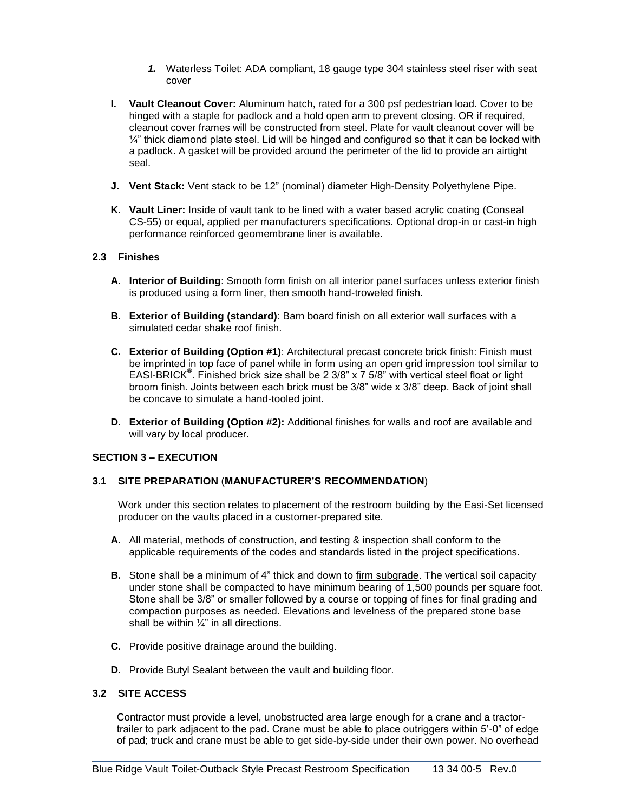- *1.* Waterless Toilet: ADA compliant, 18 gauge type 304 stainless steel riser with seat cover
- **I. Vault Cleanout Cover:** Aluminum hatch, rated for a 300 psf pedestrian load. Cover to be hinged with a staple for padlock and a hold open arm to prevent closing. OR if required, cleanout cover frames will be constructed from steel. Plate for vault cleanout cover will be  $\frac{1}{4}$ " thick diamond plate steel. Lid will be hinged and configured so that it can be locked with a padlock. A gasket will be provided around the perimeter of the lid to provide an airtight seal.
- **J. Vent Stack:** Vent stack to be 12" (nominal) diameter High-Density Polyethylene Pipe.
- **K. Vault Liner:** Inside of vault tank to be lined with a water based acrylic coating (Conseal CS-55) or equal, applied per manufacturers specifications. Optional drop-in or cast-in high performance reinforced geomembrane liner is available.

# **2.3 Finishes**

- **A. Interior of Building**: Smooth form finish on all interior panel surfaces unless exterior finish is produced using a form liner, then smooth hand-troweled finish.
- **B. Exterior of Building (standard)**: Barn board finish on all exterior wall surfaces with a simulated cedar shake roof finish.
- **C. Exterior of Building (Option #1)**: Architectural precast concrete brick finish: Finish must be imprinted in top face of panel while in form using an open grid impression tool similar to EASI-BRICK**®** . Finished brick size shall be 2 3/8" x 7 5/8" with vertical steel float or light broom finish. Joints between each brick must be 3/8" wide x 3/8" deep. Back of joint shall be concave to simulate a hand-tooled joint.
- **D. Exterior of Building (Option #2):** Additional finishes for walls and roof are available and will vary by local producer.

# **SECTION 3 – EXECUTION**

#### **3.1 SITE PREPARATION** (**MANUFACTURER'S RECOMMENDATION**)

Work under this section relates to placement of the restroom building by the Easi-Set licensed producer on the vaults placed in a customer-prepared site.

- **A.** All material, methods of construction, and testing & inspection shall conform to the applicable requirements of the codes and standards listed in the project specifications.
- **B.** Stone shall be a minimum of 4" thick and down to firm subgrade. The vertical soil capacity under stone shall be compacted to have minimum bearing of 1,500 pounds per square foot. Stone shall be 3/8" or smaller followed by a course or topping of fines for final grading and compaction purposes as needed. Elevations and levelness of the prepared stone base shall be within  $\frac{1}{4}$ " in all directions.
- **C.** Provide positive drainage around the building.
- **D.** Provide Butyl Sealant between the vault and building floor.

#### **3.2 SITE ACCESS**

Contractor must provide a level, unobstructed area large enough for a crane and a tractortrailer to park adjacent to the pad. Crane must be able to place outriggers within 5'-0" of edge of pad; truck and crane must be able to get side-by-side under their own power. No overhead